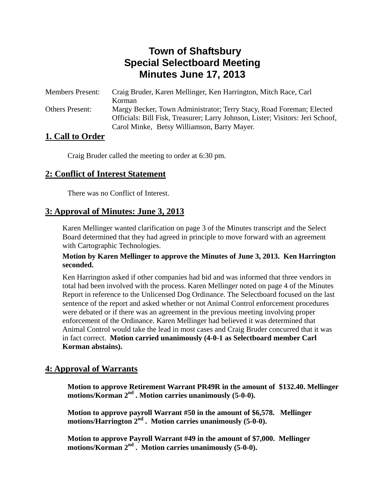# **Town of Shaftsbury Special Selectboard Meeting Minutes June 17, 2013**

| <b>Members Present:</b> | Craig Bruder, Karen Mellinger, Ken Harrington, Mitch Race, Carl                |
|-------------------------|--------------------------------------------------------------------------------|
|                         | Korman                                                                         |
| <b>Others Present:</b>  | Margy Becker, Town Administrator; Terry Stacy, Road Foreman; Elected           |
|                         | Officials: Bill Fisk, Treasurer; Larry Johnson, Lister; Visitors: Jeri Schoof, |
|                         | Carol Minke, Betsy Williamson, Barry Mayer.                                    |

## **1. Call to Order**

Craig Bruder called the meeting to order at 6:30 pm.

## **2: Conflict of Interest Statement**

There was no Conflict of Interest.

## **3: Approval of Minutes: June 3, 2013**

Karen Mellinger wanted clarification on page 3 of the Minutes transcript and the Select Board determined that they had agreed in principle to move forward with an agreement with Cartographic Technologies.

#### **Motion by Karen Mellinger to approve the Minutes of June 3, 2013. Ken Harrington seconded.**

Ken Harrington asked if other companies had bid and was informed that three vendors in total had been involved with the process. Karen Mellinger noted on page 4 of the Minutes Report in reference to the Unlicensed Dog Ordinance. The Selectboard focused on the last sentence of the report and asked whether or not Animal Control enforcement procedures were debated or if there was an agreement in the previous meeting involving proper enforcement of the Ordinance. Karen Mellinger had believed it was determined that Animal Control would take the lead in most cases and Craig Bruder concurred that it was in fact correct. **Motion carried unanimously (4-0-1 as Selectboard member Carl Korman abstains).** 

## **4: Approval of Warrants**

**Motion to approve Retirement Warrant PR49R in the amount of \$132.40. Mellinger motions/Korman 2nd . Motion carries unanimously (5-0-0).** 

**Motion to approve payroll Warrant #50 in the amount of \$6,578. Mellinger motions/Harrington 2nd . Motion carries unanimously (5-0-0).** 

**Motion to approve Payroll Warrant #49 in the amount of \$7,000. Mellinger motions/Korman 2nd . Motion carries unanimously (5-0-0).**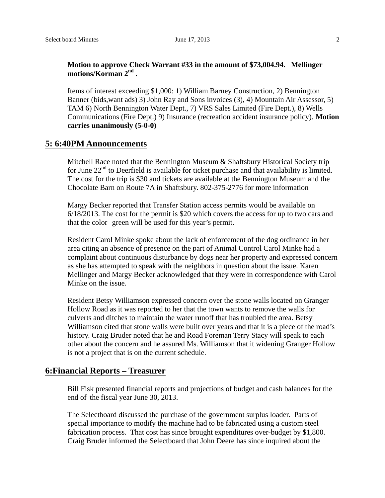#### **Motion to approve Check Warrant #33 in the amount of \$73,004.94. Mellinger motions/Korman 2nd .**

Items of interest exceeding \$1,000: 1) William Barney Construction, 2) Bennington Banner (bids,want ads) 3) John Ray and Sons invoices (3), 4) Mountain Air Assessor, 5) TAM 6) North Bennington Water Dept., 7) VRS Sales Limited (Fire Dept.), 8) Wells Communications (Fire Dept.) 9) Insurance (recreation accident insurance policy). **Motion carries unanimously (5-0-0)**

#### **5: 6:40PM Announcements**

Mitchell Race noted that the Bennington Museum & Shaftsbury Historical Society trip for June  $22<sup>nd</sup>$  to Deerfield is available for ticket purchase and that availability is limited. The cost for the trip is \$30 and tickets are available at the Bennington Museum and the Chocolate Barn on Route 7A in Shaftsbury. 802-375-2776 for more information

Margy Becker reported that Transfer Station access permits would be available on 6/18/2013. The cost for the permit is \$20 which covers the access for up to two cars and that the color green will be used for this year's permit.

Resident Carol Minke spoke about the lack of enforcement of the dog ordinance in her area citing an absence of presence on the part of Animal Control Carol Minke had a complaint about continuous disturbance by dogs near her property and expressed concern as she has attempted to speak with the neighbors in question about the issue. Karen Mellinger and Margy Becker acknowledged that they were in correspondence with Carol Minke on the issue.

Resident Betsy Williamson expressed concern over the stone walls located on Granger Hollow Road as it was reported to her that the town wants to remove the walls for culverts and ditches to maintain the water runoff that has troubled the area. Betsy Williamson cited that stone walls were built over years and that it is a piece of the road's history. Craig Bruder noted that he and Road Foreman Terry Stacy will speak to each other about the concern and he assured Ms. Williamson that it widening Granger Hollow is not a project that is on the current schedule.

### **6:Financial Reports – Treasurer**

Bill Fisk presented financial reports and projections of budget and cash balances for the end of the fiscal year June 30, 2013.

The Selectboard discussed the purchase of the government surplus loader. Parts of special importance to modify the machine had to be fabricated using a custom steel fabrication process. That cost has since brought expenditures over-budget by \$1,800. Craig Bruder informed the Selectboard that John Deere has since inquired about the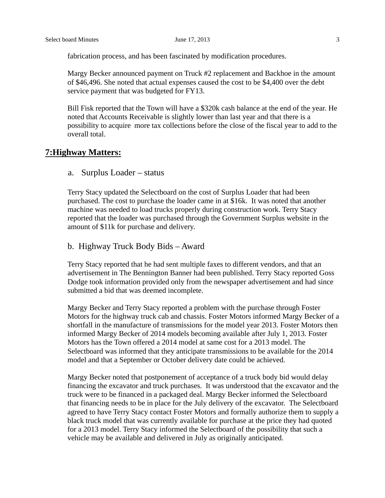fabrication process, and has been fascinated by modification procedures.

Margy Becker announced payment on Truck #2 replacement and Backhoe in the amount of \$46,496. She noted that actual expenses caused the cost to be \$4,400 over the debt service payment that was budgeted for FY13.

Bill Fisk reported that the Town will have a \$320k cash balance at the end of the year. He noted that Accounts Receivable is slightly lower than last year and that there is a possibility to acquire more tax collections before the close of the fiscal year to add to the overall total.

#### **7:Highway Matters:**

#### a. Surplus Loader – status

Terry Stacy updated the Selectboard on the cost of Surplus Loader that had been purchased. The cost to purchase the loader came in at \$16k. It was noted that another machine was needed to load trucks properly during construction work. Terry Stacy reported that the loader was purchased through the Government Surplus website in the amount of \$11k for purchase and delivery.

#### b. Highway Truck Body Bids – Award

Terry Stacy reported that he had sent multiple faxes to different vendors, and that an advertisement in The Bennington Banner had been published. Terry Stacy reported Goss Dodge took information provided only from the newspaper advertisement and had since submitted a bid that was deemed incomplete.

Margy Becker and Terry Stacy reported a problem with the purchase through Foster Motors for the highway truck cab and chassis. Foster Motors informed Margy Becker of a shortfall in the manufacture of transmissions for the model year 2013. Foster Motors then informed Margy Becker of 2014 models becoming available after July 1, 2013. Foster Motors has the Town offered a 2014 model at same cost for a 2013 model. The Selectboard was informed that they anticipate transmissions to be available for the 2014 model and that a September or October delivery date could be achieved.

Margy Becker noted that postponement of acceptance of a truck body bid would delay financing the excavator and truck purchases. It was understood that the excavator and the truck were to be financed in a packaged deal. Margy Becker informed the Selectboard that financing needs to be in place for the July delivery of the excavator. The Selectboard agreed to have Terry Stacy contact Foster Motors and formally authorize them to supply a black truck model that was currently available for purchase at the price they had quoted for a 2013 model. Terry Stacy informed the Selectboard of the possibility that such a vehicle may be available and delivered in July as originally anticipated.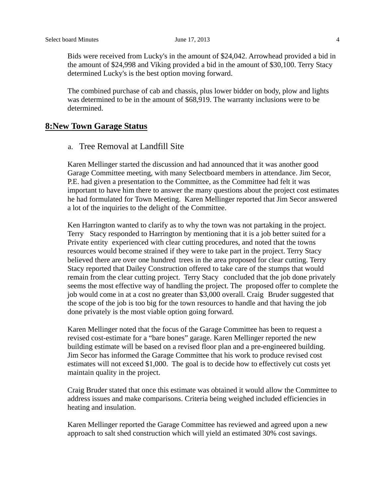Bids were received from Lucky's in the amount of \$24,042. Arrowhead provided a bid in the amount of \$24,998 and Viking provided a bid in the amount of \$30,100. Terry Stacy determined Lucky's is the best option moving forward.

The combined purchase of cab and chassis, plus lower bidder on body, plow and lights was determined to be in the amount of \$68,919. The warranty inclusions were to be determined.

#### **8:New Town Garage Status**

#### a. Tree Removal at Landfill Site

Karen Mellinger started the discussion and had announced that it was another good Garage Committee meeting, with many Selectboard members in attendance. Jim Secor, P.E. had given a presentation to the Committee, as the Committee had felt it was important to have him there to answer the many questions about the project cost estimates he had formulated for Town Meeting. Karen Mellinger reported that Jim Secor answered a lot of the inquiries to the delight of the Committee.

Ken Harrington wanted to clarify as to why the town was not partaking in the project. Terry Stacy responded to Harrington by mentioning that it is a job better suited for a Private entity experienced with clear cutting procedures, and noted that the towns resources would become strained if they were to take part in the project. Terry Stacy believed there are over one hundred trees in the area proposed for clear cutting. Terry Stacy reported that Dailey Construction offered to take care of the stumps that would remain from the clear cutting project. Terry Stacy concluded that the job done privately seems the most effective way of handling the project. The proposed offer to complete the job would come in at a cost no greater than \$3,000 overall. Craig Bruder suggested that the scope of the job is too big for the town resources to handle and that having the job done privately is the most viable option going forward.

Karen Mellinger noted that the focus of the Garage Committee has been to request a revised cost-estimate for a "bare bones" garage. Karen Mellinger reported the new building estimate will be based on a revised floor plan and a pre-engineered building. Jim Secor has informed the Garage Committee that his work to produce revised cost estimates will not exceed \$1,000. The goal is to decide how to effectively cut costs yet maintain quality in the project.

Craig Bruder stated that once this estimate was obtained it would allow the Committee to address issues and make comparisons. Criteria being weighed included efficiencies in heating and insulation.

Karen Mellinger reported the Garage Committee has reviewed and agreed upon a new approach to salt shed construction which will yield an estimated 30% cost savings.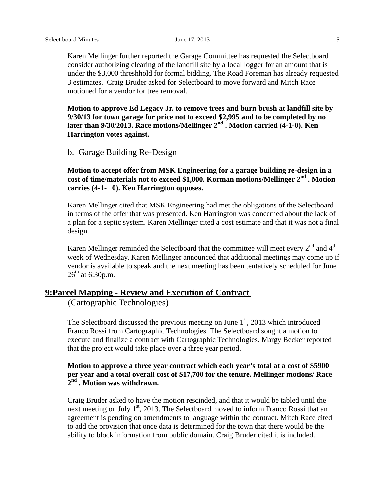Karen Mellinger further reported the Garage Committee has requested the Selectboard consider authorizing clearing of the landfill site by a local logger for an amount that is under the \$3,000 threshhold for formal bidding. The Road Foreman has already requested 3 estimates. Craig Bruder asked for Selectboard to move forward and Mitch Race motioned for a vendor for tree removal.

**Motion to approve Ed Legacy Jr. to remove trees and burn brush at landfill site by 9/30/13 for town garage for price not to exceed \$2,995 and to be completed by no later than 9/30/2013. Race motions/Mellinger 2nd . Motion carried (4-1-0). Ken Harrington votes against.** 

b. Garage Building Re-Design

#### **Motion to accept offer from MSK Engineering for a garage building re-design in a**  cost of time/materials not to exceed \$1,000. Korman motions/Mellinger 2<sup>nd</sup> . Motion **carries (4-1- 0). Ken Harrington opposes.**

Karen Mellinger cited that MSK Engineering had met the obligations of the Selectboard in terms of the offer that was presented. Ken Harrington was concerned about the lack of a plan for a septic system. Karen Mellinger cited a cost estimate and that it was not a final design.

Karen Mellinger reminded the Selectboard that the committee will meet every  $2<sup>nd</sup>$  and  $4<sup>th</sup>$ week of Wednesday. Karen Mellinger announced that additional meetings may come up if vendor is available to speak and the next meeting has been tentatively scheduled for June  $26^{th}$  at 6:30p.m.

## **9:Parcel Mapping - Review and Execution of Contract**

(Cartographic Technologies)

The Selectboard discussed the previous meeting on June  $1<sup>st</sup>$ , 2013 which introduced Franco Rossi from Cartographic Technologies. The Selectboard sought a motion to execute and finalize a contract with Cartographic Technologies. Margy Becker reported that the project would take place over a three year period.

#### **Motion to approve a three year contract which each year's total at a cost of \$5900 per year and a total overall cost of \$17,700 for the tenure. Mellinger motions/ Race 2nd . Motion was withdrawn.**

Craig Bruder asked to have the motion rescinded, and that it would be tabled until the next meeting on July  $1<sup>st</sup>$ , 2013. The Selectboard moved to inform Franco Rossi that an agreement is pending on amendments to language within the contract. Mitch Race cited to add the provision that once data is determined for the town that there would be the ability to block information from public domain. Craig Bruder cited it is included.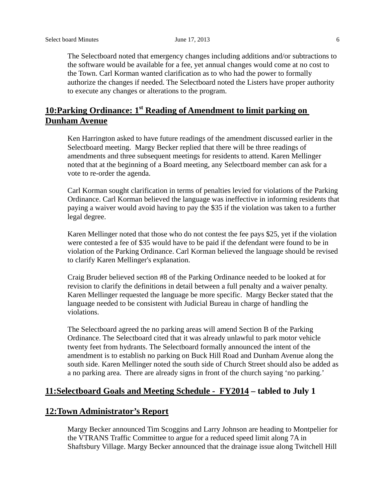The Selectboard noted that emergency changes including additions and/or subtractions to the software would be available for a fee, yet annual changes would come at no cost to the Town. Carl Korman wanted clarification as to who had the power to formally authorize the changes if needed. The Selectboard noted the Listers have proper authority to execute any changes or alterations to the program.

## **10:Parking Ordinance: 1st Reading of Amendment to limit parking on Dunham Avenue**

Ken Harrington asked to have future readings of the amendment discussed earlier in the Selectboard meeting. Margy Becker replied that there will be three readings of amendments and three subsequent meetings for residents to attend. Karen Mellinger noted that at the beginning of a Board meeting, any Selectboard member can ask for a vote to re-order the agenda.

Carl Korman sought clarification in terms of penalties levied for violations of the Parking Ordinance. Carl Korman believed the language was ineffective in informing residents that paying a waiver would avoid having to pay the \$35 if the violation was taken to a further legal degree.

Karen Mellinger noted that those who do not contest the fee pays \$25, yet if the violation were contested a fee of \$35 would have to be paid if the defendant were found to be in violation of the Parking Ordinance. Carl Korman believed the language should be revised to clarify Karen Mellinger's explanation.

 Craig Bruder believed section #8 of the Parking Ordinance needed to be looked at for revision to clarify the definitions in detail between a full penalty and a waiver penalty. Karen Mellinger requested the language be more specific. Margy Becker stated that the language needed to be consistent with Judicial Bureau in charge of handling the violations.

The Selectboard agreed the no parking areas will amend Section B of the Parking Ordinance. The Selectboard cited that it was already unlawful to park motor vehicle twenty feet from hydrants. The Selectboard formally announced the intent of the amendment is to establish no parking on Buck Hill Road and Dunham Avenue along the south side. Karen Mellinger noted the south side of Church Street should also be added as a no parking area. There are already signs in front of the church saying 'no parking.'

### **11:Selectboard Goals and Meeting Schedule - FY2014 – tabled to July 1**

#### **12:Town Administrator's Report**

Margy Becker announced Tim Scoggins and Larry Johnson are heading to Montpelier for the VTRANS Traffic Committee to argue for a reduced speed limit along 7A in Shaftsbury Village. Margy Becker announced that the drainage issue along Twitchell Hill